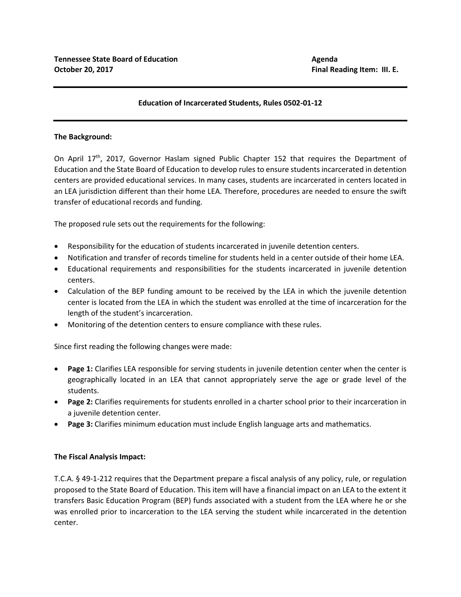## **Education of Incarcerated Students, Rules 0502-01-12**

## **The Background:**

On April  $17<sup>th</sup>$ , 2017, Governor Haslam signed Public Chapter 152 that requires the Department of Education and the State Board of Education to develop rules to ensure students incarcerated in detention centers are provided educational services. In many cases, students are incarcerated in centers located in an LEA jurisdiction different than their home LEA. Therefore, procedures are needed to ensure the swift transfer of educational records and funding.

The proposed rule sets out the requirements for the following:

- Responsibility for the education of students incarcerated in juvenile detention centers.
- Notification and transfer of records timeline for students held in a center outside of their home LEA.
- Educational requirements and responsibilities for the students incarcerated in juvenile detention centers.
- Calculation of the BEP funding amount to be received by the LEA in which the juvenile detention center is located from the LEA in which the student was enrolled at the time of incarceration for the length of the student's incarceration.
- Monitoring of the detention centers to ensure compliance with these rules.

Since first reading the following changes were made:

- Page 1: Clarifies LEA responsible for serving students in juvenile detention center when the center is geographically located in an LEA that cannot appropriately serve the age or grade level of the students.
- **Page 2:** Clarifies requirements for students enrolled in a charter school prior to their incarceration in a juvenile detention center.
- **Page 3:** Clarifies minimum education must include English language arts and mathematics.

## **The Fiscal Analysis Impact:**

T.C.A. § 49-1-212 requires that the Department prepare a fiscal analysis of any policy, rule, or regulation proposed to the State Board of Education. This item will have a financial impact on an LEA to the extent it transfers Basic Education Program (BEP) funds associated with a student from the LEA where he or she was enrolled prior to incarceration to the LEA serving the student while incarcerated in the detention center.